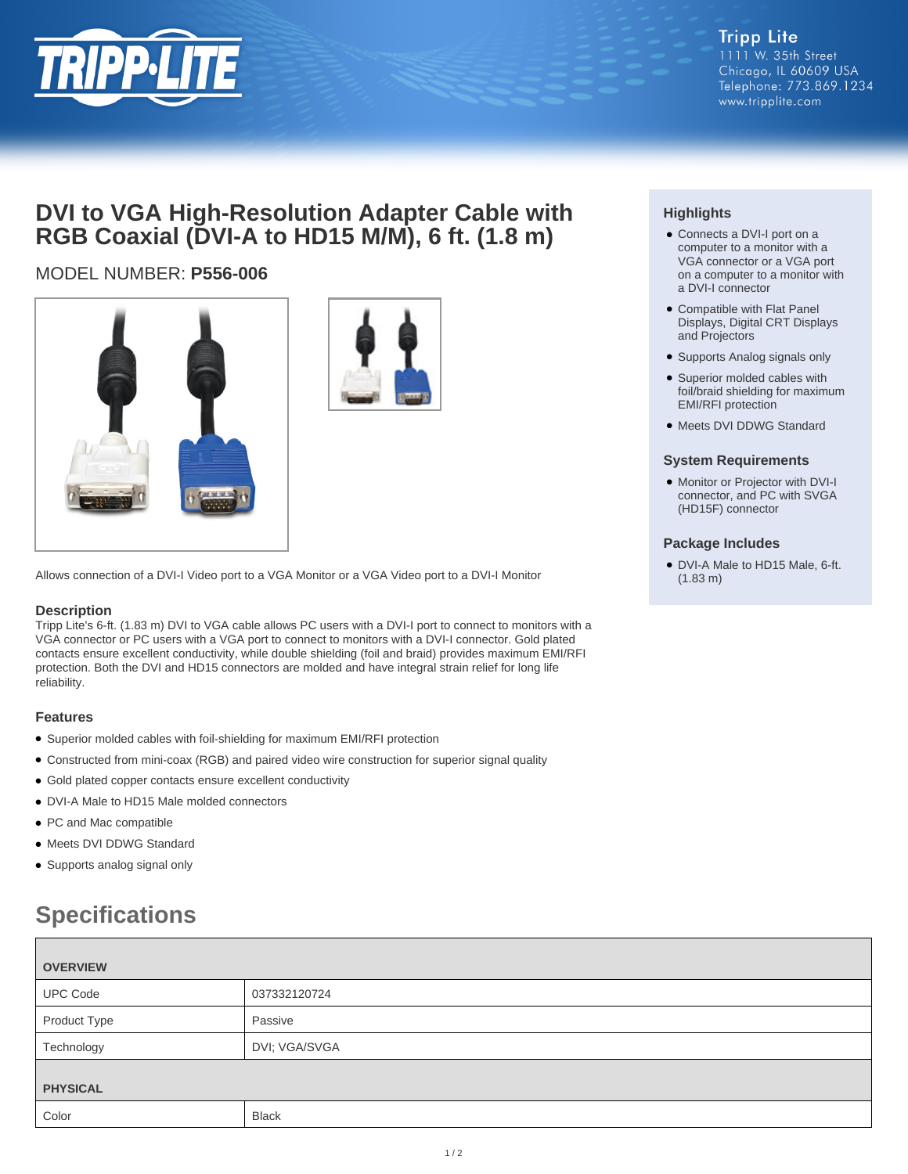

# **DVI to VGA High-Resolution Adapter Cable with RGB Coaxial (DVI-A to HD15 M/M), 6 ft. (1.8 m)**

# MODEL NUMBER: **P556-006**





Allows connection of a DVI-I Video port to a VGA Monitor or a VGA Video port to a DVI-I Monitor

## **Description**

Tripp Lite's 6-ft. (1.83 m) DVI to VGA cable allows PC users with a DVI-I port to connect to monitors with a VGA connector or PC users with a VGA port to connect to monitors with a DVI-I connector. Gold plated contacts ensure excellent conductivity, while double shielding (foil and braid) provides maximum EMI/RFI protection. Both the DVI and HD15 connectors are molded and have integral strain relief for long life reliability.

## **Features**

- Superior molded cables with foil-shielding for maximum EMI/RFI protection
- Constructed from mini-coax (RGB) and paired video wire construction for superior signal quality
- Gold plated copper contacts ensure excellent conductivity
- DVI-A Male to HD15 Male molded connectors
- PC and Mac compatible
- Meets DVI DDWG Standard
- Supports analog signal only

# **Specifications**

| <b>OVERVIEW</b> |               |
|-----------------|---------------|
| <b>UPC Code</b> | 037332120724  |
| Product Type    | Passive       |
| Technology      | DVI; VGA/SVGA |
| <b>PHYSICAL</b> |               |
| Color           | <b>Black</b>  |

# **Highlights**

- Connects a DVI-I port on a computer to a monitor with a VGA connector or a VGA port on a computer to a monitor with a DVI-I connector
- Compatible with Flat Panel Displays, Digital CRT Displays and Projectors
- Supports Analog signals only
- Superior molded cables with foil/braid shielding for maximum EMI/RFI protection
- Meets DVI DDWG Standard

### **System Requirements**

• Monitor or Projector with DVI-I connector, and PC with SVGA (HD15F) connector

### **Package Includes**

● DVI-A Male to HD15 Male, 6-ft. (1.83 m)